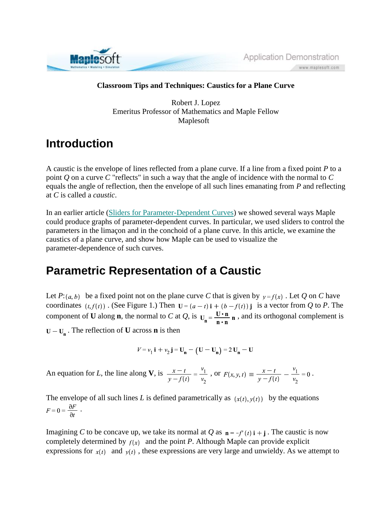

Application Demonstration www.maplesoft.com

#### **Classroom Tips and Techniques: Caustics for a Plane Curve**

Robert J. Lopez Emeritus Professor of Mathematics and Maple Fellow Maplesoft

#### **Introduction**

A caustic is the envelope of lines reflected from a plane curve. If a line from a fixed point *P* to a point *Q* on a curve *C* "reflects" in such a way that the angle of incidence with the normal to *C* equals the angle of reflection, then the envelope of all such lines emanating from *P* and reflecting at *C* is called a *caustic*.

In an earlier article (Sliders for Parameter-Dependent Curves) we showed several ways Maple could produce graphs of parameter-dependent curves. In particular, we used sliders to control the parameters in the limaçon and in the conchoid of a plane curve. In this article, we examine the caustics of a plane curve, and show how Maple can be used to visualize the parameter-dependence of such curves.

## **Parametric Representation of a Caustic**

Let  $P: (a, b)$  be a fixed point not on the plane curve *C* that is given by  $y = f(x)$ . Let *Q* on *C* have coordinates  $(t, f(t))$ . (See Figure 1.) Then  $\mathbf{U} = (a - t)\mathbf{i} + (b - f(t))\mathbf{j}$  is a vector from *Q* to *P*. The component of **U** along **n**, the normal to *C* at *Q*, is  $u_n = \frac{U \cdot n}{n \cdot n} n$ , and its orthogonal complement is  $U - U_n$ . The reflection of **U** across **n** is then

$$
V = v_1 \mathbf{i} + v_2 \mathbf{j} = U_n - (U - U_n) = 2 U_n - U
$$

An equation for *L*, the line along **V**, is  $\frac{x-t}{y-f(t)} = \frac{v_1}{v_2}$ , or  $F(x, y, t) \equiv \frac{x-t}{y-f(t)} - \frac{v_1}{v_2} = 0$ .

The envelope of all such lines *L* is defined parametrically as  $(x(t), y(t))$  by the equations  $F = 0 = \frac{\partial F}{\partial t}$ .

Imagining *C* to be concave up, we take its normal at *Q* as  $n = -f'(t)$  i + j. The caustic is now completely determined by  $f(x)$  and the point *P*. Although Maple can provide explicit expressions for  $x(t)$  and  $y(t)$ , these expressions are very large and unwieldy. As we attempt to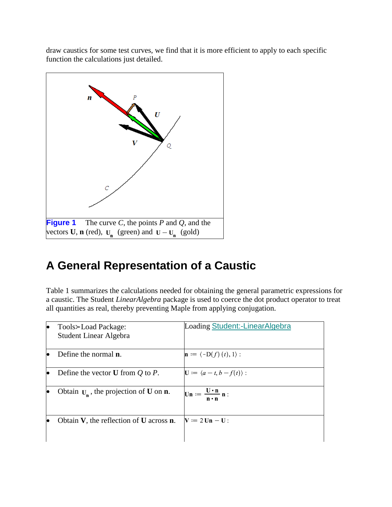draw caustics for some test curves, we find that it is more efficient to apply to each specific function the calculations just detailed.



# **A General Representation of a Caustic**

Table 1 summarizes the calculations needed for obtaining the general parametric expressions for a caustic. The Student *LinearAlgebra* package is used to coerce the dot product operator to treat all quantities as real, thereby preventing Maple from applying conjugation.

| Tools>Load Package:<br>Student Linear Algebra           | Loading Student:-LinearAlgebra                                                                     |
|---------------------------------------------------------|----------------------------------------------------------------------------------------------------|
| Define the normal <b>n</b> .                            | $\mathbf{n} := (-D(f)(t), 1)$ :                                                                    |
| Define the vector <b>U</b> from $Q$ to $P$ .            | $\mathbf{U} := \langle a - t, b - f(t) \rangle$ :                                                  |
| Obtain $U_n$ , the projection of <b>U</b> on <b>n</b> . | $\mathbf{Un} := \frac{\mathbf{U} \cdot \mathbf{n}}{\mathbf{n}}$ :<br>$\mathbf{n} \cdot \mathbf{n}$ |
| Obtain $V$ , the reflection of $U$ across $n$ .         | $\mathbf{V} \coloneqq 2 \mathbf{U} \mathbf{n} - \mathbf{U}$ :                                      |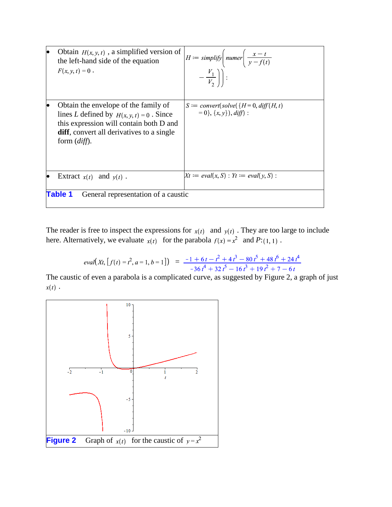|                                                       | Obtain $H(x, y, t)$ , a simplified version of<br>the left-hand side of the equation<br>$F(x, y, t) = 0$ .                                                                                                                | $H := simplify \left( number \frac{x-t}{y-f(t)} \right)$<br>$-\frac{V_1}{V_2}\bigg)\bigg $ :      |  |
|-------------------------------------------------------|--------------------------------------------------------------------------------------------------------------------------------------------------------------------------------------------------------------------------|---------------------------------------------------------------------------------------------------|--|
|                                                       | Obtain the envelope of the family of<br>lines L defined by $H(x, y, t) = 0$ . Since<br>this expression will contain both D and<br><b>diff</b> , convert all derivatives to a single<br>form $\left(\text{diff}\right)$ . | $S \coloneqq \text{convert}(\text{solve}(\{H=0, \text{diff}(H, t))$<br>$= 0\}, \{x, y\}, diff)$ : |  |
|                                                       | Extract $x(t)$ and $y(t)$ .                                                                                                                                                                                              | $Xt := eval(x, S) : Yt := eval(y, S)$ :                                                           |  |
| <b>Table 1</b><br>General representation of a caustic |                                                                                                                                                                                                                          |                                                                                                   |  |

The reader is free to inspect the expressions for  $x(t)$  and  $y(t)$ . They are too large to include here. Alternatively, we evaluate  $x(t)$  for the parabola  $f(x) = x^2$  and  $P: (1, 1)$ .

$$
eval(Xt, [f(t) = t^2, a = 1, b = 1]) = \frac{-1 + 6t - t^2 + 4t^3 - 80t^5 + 48t^6 + 24t^4}{-36t^4 + 32t^5 - 16t^3 + 19t^2 + 7 - 6t}
$$

The caustic of even a parabola is a complicated curve, as suggested by Figure 2, a graph of just  $x(t)$ .

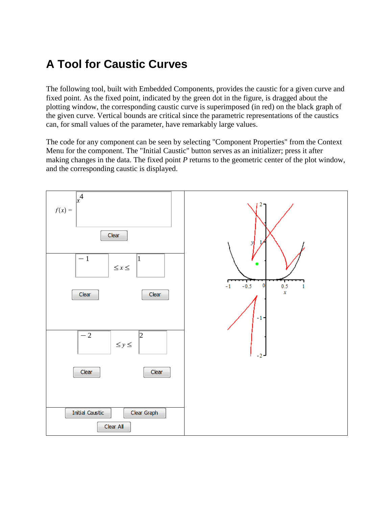# **A Tool for Caustic Curves**

The following tool, built with Embedded Components, provides the caustic for a given curve and fixed point. As the fixed point, indicated by the green dot in the figure, is dragged about the plotting window, the corresponding caustic curve is superimposed (in red) on the black graph of the given curve. Vertical bounds are critical since the parametric representations of the caustics can, for small values of the parameter, have remarkably large values.

The code for any component can be seen by selecting "Component Properties" from the Context Menu for the component. The "Initial Caustic" button serves as an initializer; press it after making changes in the data. The fixed point *P* returns to the geometric center of the plot window, and the corresponding caustic is displayed.

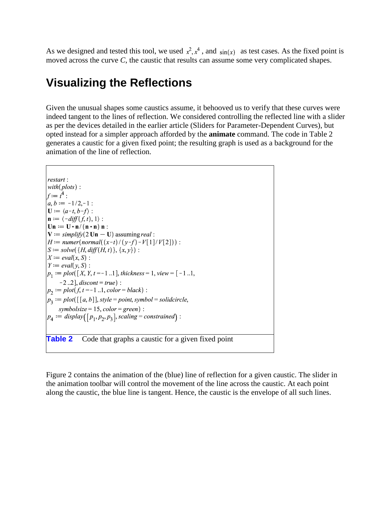As we designed and tested this tool, we used  $x^2$ ,  $x^4$ , and  $sin(x)$  as test cases. As the fixed point is moved across the curve *C*, the caustic that results can assume some very complicated shapes.

### **Visualizing the Reflections**

Given the unusual shapes some caustics assume, it behooved us to verify that these curves were indeed tangent to the lines of reflection. We considered controlling the reflected line with a slider as per the devices detailed in the earlier article (Sliders for Parameter-Dependent Curves), but opted instead for a simpler approach afforded by the **animate** command. The code in Table 2 generates a caustic for a given fixed point; the resulting graph is used as a background for the animation of the line of reflection.

restart:  $with(plots)$ :  $f:=f^4$ :  $a, b := -1/2, -1$ :  $\mathbf{U} := \langle a-t, b-f \rangle$ :  $\mathbf{n} := \langle -diff(f, t), 1 \rangle$ :  $\mathbf{U}\mathbf{n} := \mathbf{U}\cdot\mathbf{n}/(\mathbf{n}\cdot\mathbf{n})\mathbf{n}$ :  $V := simplify(2 Un - U)$  assuming *real* :  $H := number(normal((x-t)/(y-f) - V[1]/V[2]))$ :  $S := solve(\{H, diff(H, t)\}, \{x, y\})$ :  $X := eval(x, S)$ :  $Y := eval(v, S)$ :  $p_1 := plot([X, Y, t = -1..1], thickness = 1, view = [-1..1,$  $[-2..2]$ , *discont* = *true*) :  $p_2 := plot(f, t = -1..1, color = black)$ :  $p_3 := plot([[a, b]], style = point, symbol = solid circle,$ symbolsize = 15, color = green) :  $p_4 := display([p_1, p_2, p_3], scaling = constrained):$ **Table 2** Code that graphs a caustic for a given fixed point

Figure 2 contains the animation of the (blue) line of reflection for a given caustic. The slider in the animation toolbar will control the movement of the line across the caustic. At each point along the caustic, the blue line is tangent. Hence, the caustic is the envelope of all such lines.